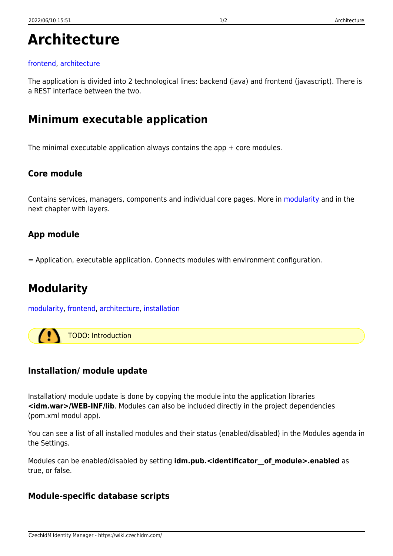# **Architecture**

#### [frontend,](https://wiki.czechidm.com/tag/frontend?do=showtag&tag=frontend) [architecture](https://wiki.czechidm.com/tag/architecture?do=showtag&tag=architecture)

The application is divided into 2 technological lines: backend (java) and frontend (javascript). There is a REST interface between the two.

## **Minimum executable application**

The minimal executable application always contains the app + core modules.

#### **Core module**

Contains services, managers, components and individual core pages. More in [modularity](https://wiki.czechidm.com/devel/documentation/adm/modularity) and in the next chapter with layers.

### **App module**

= Application, executable application. Connects modules with environment configuration.

# **Modularity**

[modularity](https://wiki.czechidm.com/tag/modularity?do=showtag&tag=modularity), [frontend,](https://wiki.czechidm.com/tag/frontend?do=showtag&tag=frontend) [architecture](https://wiki.czechidm.com/tag/architecture?do=showtag&tag=architecture), [installation](https://wiki.czechidm.com/tag/installation?do=showtag&tag=installation)

 $\sqrt{2}$ TODO: Introduction

## **Installation/ module update**

Installation/ module update is done by copying the module into the application libraries **<idm.war>/WEB-INF/lib**. Modules can also be included directly in the project dependencies (pom.xml modul app).

You can see a list of all installed modules and their status (enabled/disabled) in the Modules agenda in the Settings.

Modules can be enabled/disabled by setting **idm.pub.<identificator** of module>.enabled as true, or false.

#### **Module-specific database scripts**